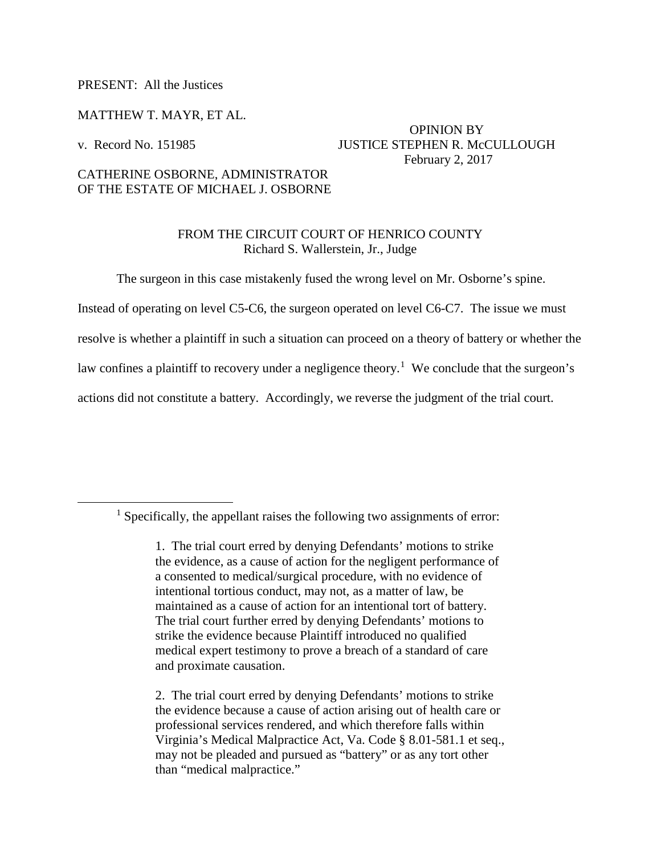## PRESENT: All the Justices

### MATTHEW T. MAYR, ET AL.

## OPINION BY v. Record No. 151985 JUSTICE STEPHEN R. McCULLOUGH February 2, 2017

# CATHERINE OSBORNE, ADMINISTRATOR OF THE ESTATE OF MICHAEL J. OSBORNE

# FROM THE CIRCUIT COURT OF HENRICO COUNTY Richard S. Wallerstein, Jr., Judge

The surgeon in this case mistakenly fused the wrong level on Mr. Osborne's spine.

Instead of operating on level C5-C6, the surgeon operated on level C6-C7. The issue we must

resolve is whether a plaintiff in such a situation can proceed on a theory of battery or whether the

law confines a plaintiff to recovery under a negligence theory.<sup>[1](#page-0-0)</sup> We conclude that the surgeon's

actions did not constitute a battery. Accordingly, we reverse the judgment of the trial court.

<span id="page-0-0"></span> $<sup>1</sup>$  Specifically, the appellant raises the following two assignments of error:</sup>

<sup>1.</sup> The trial court erred by denying Defendants' motions to strike the evidence, as a cause of action for the negligent performance of a consented to medical/surgical procedure, with no evidence of intentional tortious conduct, may not, as a matter of law, be maintained as a cause of action for an intentional tort of battery. The trial court further erred by denying Defendants' motions to strike the evidence because Plaintiff introduced no qualified medical expert testimony to prove a breach of a standard of care and proximate causation.

<sup>2.</sup> The trial court erred by denying Defendants' motions to strike the evidence because a cause of action arising out of health care or professional services rendered, and which therefore falls within Virginia's Medical Malpractice Act, Va. Code § 8.01-581.1 et seq., may not be pleaded and pursued as "battery" or as any tort other than "medical malpractice."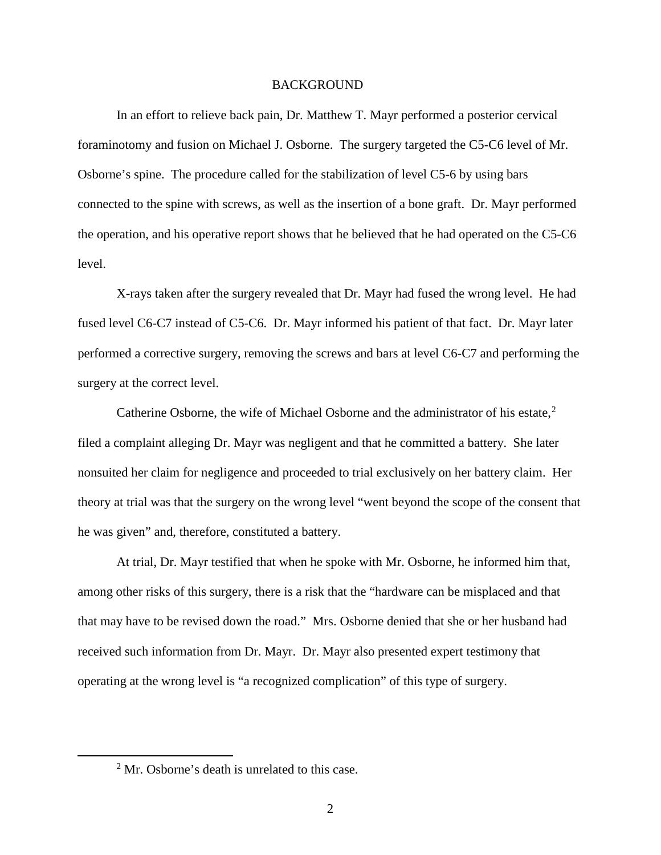#### BACKGROUND

 In an effort to relieve back pain, Dr. Matthew T. Mayr performed a posterior cervical foraminotomy and fusion on Michael J. Osborne. The surgery targeted the C5-C6 level of Mr. Osborne's spine. The procedure called for the stabilization of level C5-6 by using bars connected to the spine with screws, as well as the insertion of a bone graft. Dr. Mayr performed the operation, and his operative report shows that he believed that he had operated on the C5-C6 level.

 X-rays taken after the surgery revealed that Dr. Mayr had fused the wrong level. He had fused level C6-C7 instead of C5-C6. Dr. Mayr informed his patient of that fact. Dr. Mayr later performed a corrective surgery, removing the screws and bars at level C6-C7 and performing the surgery at the correct level.

 Catherine Osborne, the wife of Michael Osborne and the administrator of his estate, [2](#page-1-0) filed a complaint alleging Dr. Mayr was negligent and that he committed a battery. She later nonsuited her claim for negligence and proceeded to trial exclusively on her battery claim. Her theory at trial was that the surgery on the wrong level "went beyond the scope of the consent that he was given" and, therefore, constituted a battery.

At trial, Dr. Mayr testified that when he spoke with Mr. Osborne, he informed him that, among other risks of this surgery, there is a risk that the "hardware can be misplaced and that that may have to be revised down the road." Mrs. Osborne denied that she or her husband had received such information from Dr. Mayr. Dr. Mayr also presented expert testimony that operating at the wrong level is "a recognized complication" of this type of surgery.

<span id="page-1-0"></span> $\overline{\ }$  2  $2$  Mr. Osborne's death is unrelated to this case.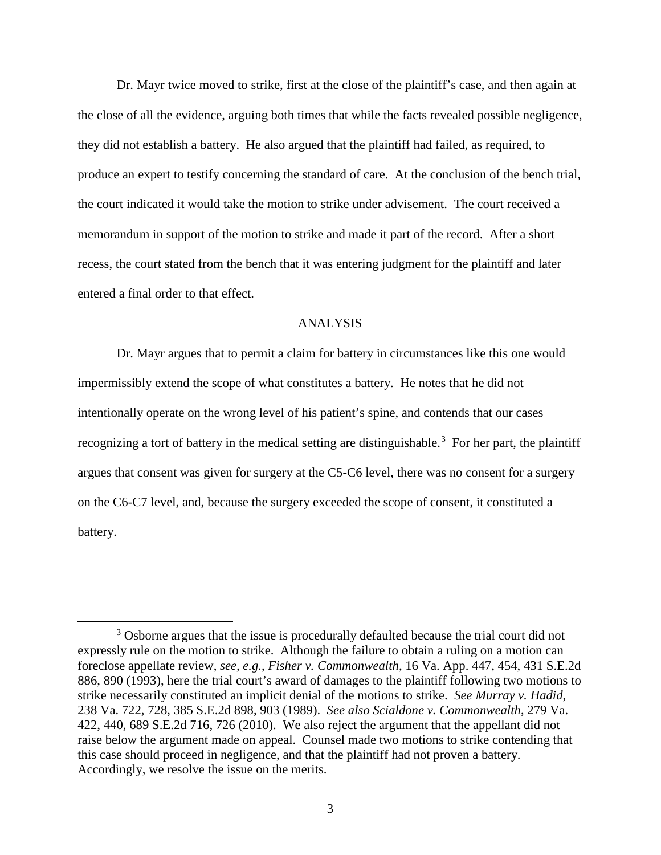Dr. Mayr twice moved to strike, first at the close of the plaintiff's case, and then again at the close of all the evidence, arguing both times that while the facts revealed possible negligence, they did not establish a battery. He also argued that the plaintiff had failed, as required, to produce an expert to testify concerning the standard of care. At the conclusion of the bench trial, the court indicated it would take the motion to strike under advisement. The court received a memorandum in support of the motion to strike and made it part of the record. After a short recess, the court stated from the bench that it was entering judgment for the plaintiff and later entered a final order to that effect.

### ANALYSIS

Dr. Mayr argues that to permit a claim for battery in circumstances like this one would impermissibly extend the scope of what constitutes a battery. He notes that he did not intentionally operate on the wrong level of his patient's spine, and contends that our cases recognizing a tort of battery in the medical setting are distinguishable.<sup>[3](#page-2-0)</sup> For her part, the plaintiff argues that consent was given for surgery at the C5-C6 level, there was no consent for a surgery on the C6-C7 level, and, because the surgery exceeded the scope of consent, it constituted a battery.

<span id="page-2-0"></span> $\frac{1}{3}$ <sup>3</sup> Osborne argues that the issue is procedurally defaulted because the trial court did not expressly rule on the motion to strike. Although the failure to obtain a ruling on a motion can foreclose appellate review, *see, e.g.*, *Fisher v. Commonwealth*, 16 Va. App. 447, 454, 431 S.E.2d 886, 890 (1993), here the trial court's award of damages to the plaintiff following two motions to strike necessarily constituted an implicit denial of the motions to strike. *See Murray v. Hadid*, 238 Va. 722, 728, 385 S.E.2d 898, 903 (1989). *See also Scialdone v. Commonwealth*, 279 Va. 422, 440, 689 S.E.2d 716, 726 (2010). We also reject the argument that the appellant did not raise below the argument made on appeal. Counsel made two motions to strike contending that this case should proceed in negligence, and that the plaintiff had not proven a battery. Accordingly, we resolve the issue on the merits.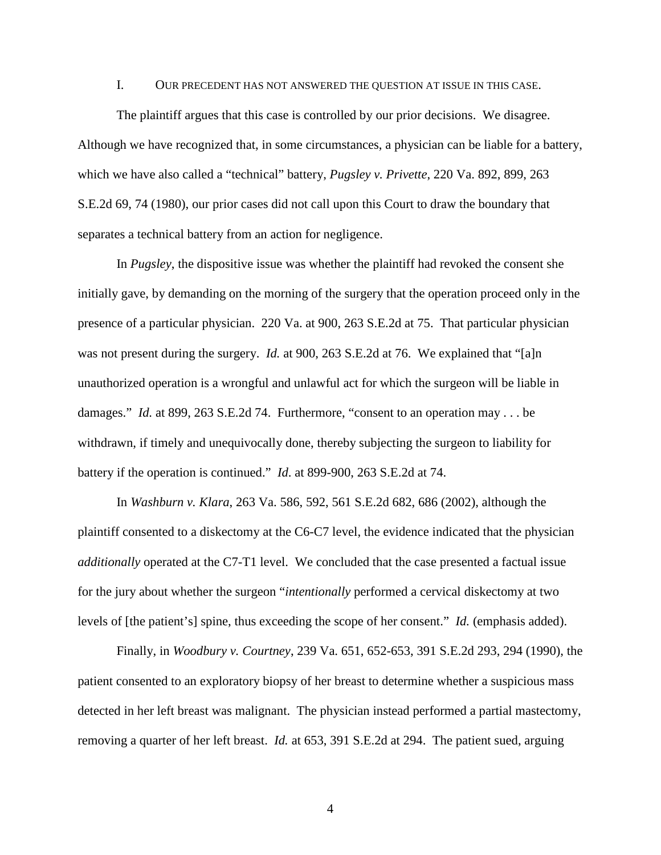#### I. OUR PRECEDENT HAS NOT ANSWERED THE QUESTION AT ISSUE IN THIS CASE.

The plaintiff argues that this case is controlled by our prior decisions. We disagree. Although we have recognized that, in some circumstances, a physician can be liable for a battery, which we have also called a "technical" battery, *Pugsley v. Privette*, 220 Va. 892, 899, 263 S.E.2d 69, 74 (1980), our prior cases did not call upon this Court to draw the boundary that separates a technical battery from an action for negligence.

In *Pugsley*, the dispositive issue was whether the plaintiff had revoked the consent she initially gave, by demanding on the morning of the surgery that the operation proceed only in the presence of a particular physician. 220 Va. at 900, 263 S.E.2d at 75. That particular physician was not present during the surgery. *Id.* at 900, 263 S.E.2d at 76. We explained that "[a]n unauthorized operation is a wrongful and unlawful act for which the surgeon will be liable in damages." *Id.* at 899, 263 S.E.2d 74. Furthermore, "consent to an operation may . . . be withdrawn, if timely and unequivocally done, thereby subjecting the surgeon to liability for battery if the operation is continued." *Id*. at 899-900, 263 S.E.2d at 74.

In *Washburn v. Klara*, 263 Va. 586, 592, 561 S.E.2d 682, 686 (2002), although the plaintiff consented to a diskectomy at the C6-C7 level, the evidence indicated that the physician *additionally* operated at the C7-T1 level. We concluded that the case presented a factual issue for the jury about whether the surgeon "*intentionally* performed a cervical diskectomy at two levels of [the patient's] spine, thus exceeding the scope of her consent." *Id.* (emphasis added).

 Finally, in *Woodbury v. Courtney*, 239 Va. 651, 652-653, 391 S.E.2d 293, 294 (1990), the patient consented to an exploratory biopsy of her breast to determine whether a suspicious mass detected in her left breast was malignant. The physician instead performed a partial mastectomy, removing a quarter of her left breast. *Id.* at 653, 391 S.E.2d at 294. The patient sued, arguing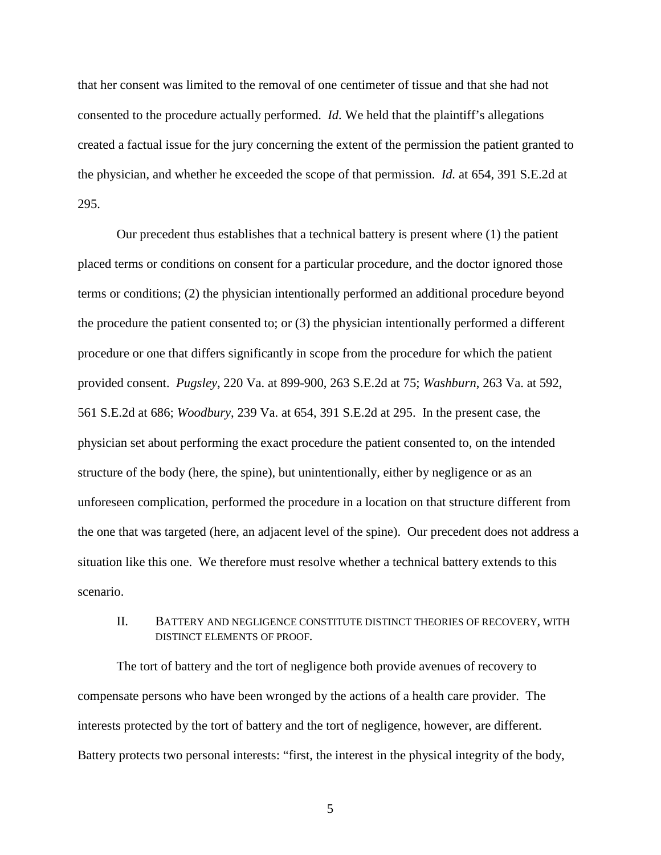that her consent was limited to the removal of one centimeter of tissue and that she had not consented to the procedure actually performed. *Id.* We held that the plaintiff's allegations created a factual issue for the jury concerning the extent of the permission the patient granted to the physician, and whether he exceeded the scope of that permission. *Id.* at 654, 391 S.E.2d at 295.

 Our precedent thus establishes that a technical battery is present where (1) the patient placed terms or conditions on consent for a particular procedure, and the doctor ignored those terms or conditions; (2) the physician intentionally performed an additional procedure beyond the procedure the patient consented to; or (3) the physician intentionally performed a different procedure or one that differs significantly in scope from the procedure for which the patient provided consent. *Pugsley*, 220 Va. at 899-900, 263 S.E.2d at 75; *Washburn*, 263 Va. at 592, 561 S.E.2d at 686; *Woodbury*, 239 Va. at 654, 391 S.E.2d at 295. In the present case, the physician set about performing the exact procedure the patient consented to, on the intended structure of the body (here, the spine), but unintentionally, either by negligence or as an unforeseen complication, performed the procedure in a location on that structure different from the one that was targeted (here, an adjacent level of the spine). Our precedent does not address a situation like this one. We therefore must resolve whether a technical battery extends to this scenario.

## II. BATTERY AND NEGLIGENCE CONSTITUTE DISTINCT THEORIES OF RECOVERY, WITH DISTINCT ELEMENTS OF PROOF.

 The tort of battery and the tort of negligence both provide avenues of recovery to compensate persons who have been wronged by the actions of a health care provider. The interests protected by the tort of battery and the tort of negligence, however, are different. Battery protects two personal interests: "first, the interest in the physical integrity of the body,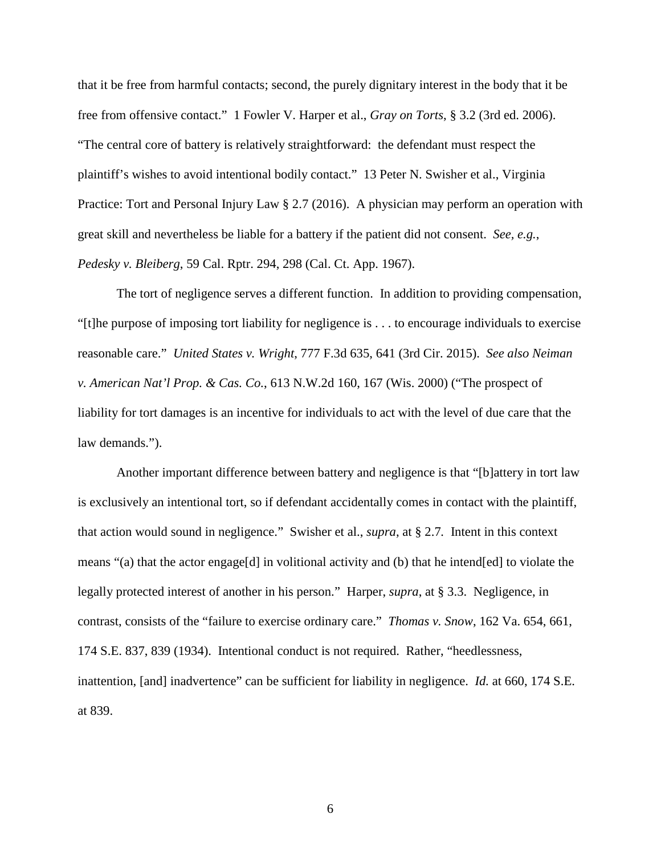that it be free from harmful contacts; second, the purely dignitary interest in the body that it be free from offensive contact." 1 Fowler V. Harper et al., *Gray on Torts*, § 3.2 (3rd ed. 2006). "The central core of battery is relatively straightforward: the defendant must respect the plaintiff's wishes to avoid intentional bodily contact." 13 Peter N. Swisher et al., Virginia Practice: Tort and Personal Injury Law § 2.7 (2016). A physician may perform an operation with great skill and nevertheless be liable for a battery if the patient did not consent. *See, e.g.*, *Pedesky v. Bleiberg*, 59 Cal. Rptr. 294, 298 (Cal. Ct. App. 1967).

 The tort of negligence serves a different function. In addition to providing compensation, "[t]he purpose of imposing tort liability for negligence is . . . to encourage individuals to exercise reasonable care." *United States v. Wright*, 777 F.3d 635, 641 (3rd Cir. 2015). *See also Neiman v. American Nat'l Prop. & Cas. Co.*, 613 N.W.2d 160, 167 (Wis. 2000) ("The prospect of liability for tort damages is an incentive for individuals to act with the level of due care that the law demands.").

 Another important difference between battery and negligence is that "[b]attery in tort law is exclusively an intentional tort, so if defendant accidentally comes in contact with the plaintiff, that action would sound in negligence." Swisher et al., *supra*, at § 2.7*.* Intent in this context means "(a) that the actor engage[d] in volitional activity and (b) that he intended] to violate the legally protected interest of another in his person." Harper, *supra*, at § 3.3. Negligence, in contrast, consists of the "failure to exercise ordinary care." *Thomas v. Snow*, 162 Va. 654, 661, 174 S.E. 837, 839 (1934). Intentional conduct is not required. Rather, "heedlessness, inattention, [and] inadvertence" can be sufficient for liability in negligence. *Id.* at 660, 174 S.E. at 839.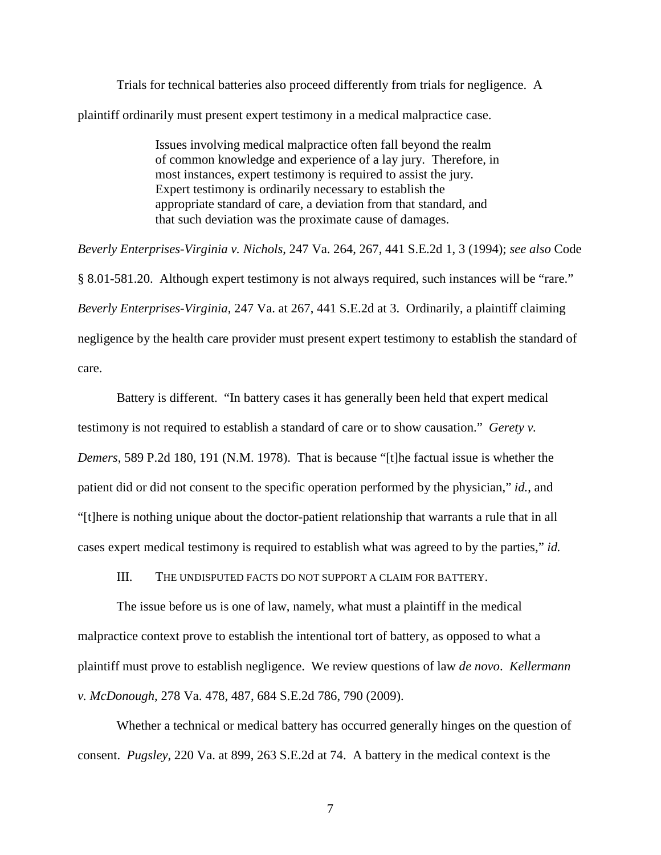Trials for technical batteries also proceed differently from trials for negligence. A plaintiff ordinarily must present expert testimony in a medical malpractice case.

> Issues involving medical malpractice often fall beyond the realm of common knowledge and experience of a lay jury. Therefore, in most instances, expert testimony is required to assist the jury. Expert testimony is ordinarily necessary to establish the appropriate standard of care, a deviation from that standard, and that such deviation was the proximate cause of damages.

*Beverly Enterprises-Virginia v. Nichols*, 247 Va. 264, 267, 441 S.E.2d 1, 3 (1994); *see also* Code § 8.01-581.20. Although expert testimony is not always required, such instances will be "rare." *Beverly Enterprises-Virginia*, 247 Va. at 267, 441 S.E.2d at 3. Ordinarily, a plaintiff claiming negligence by the health care provider must present expert testimony to establish the standard of care.

Battery is different. "In battery cases it has generally been held that expert medical testimony is not required to establish a standard of care or to show causation." *Gerety v. Demers*, 589 P.2d 180, 191 (N.M. 1978). That is because "[t]he factual issue is whether the patient did or did not consent to the specific operation performed by the physician," *id.*, and "[t]here is nothing unique about the doctor-patient relationship that warrants a rule that in all cases expert medical testimony is required to establish what was agreed to by the parties," *id.*

III. THE UNDISPUTED FACTS DO NOT SUPPORT A CLAIM FOR BATTERY.

The issue before us is one of law, namely, what must a plaintiff in the medical malpractice context prove to establish the intentional tort of battery, as opposed to what a plaintiff must prove to establish negligence. We review questions of law *de novo*. *Kellermann v. McDonough*, 278 Va. 478, 487, 684 S.E.2d 786, 790 (2009).

Whether a technical or medical battery has occurred generally hinges on the question of consent. *Pugsley*, 220 Va. at 899, 263 S.E.2d at 74. A battery in the medical context is the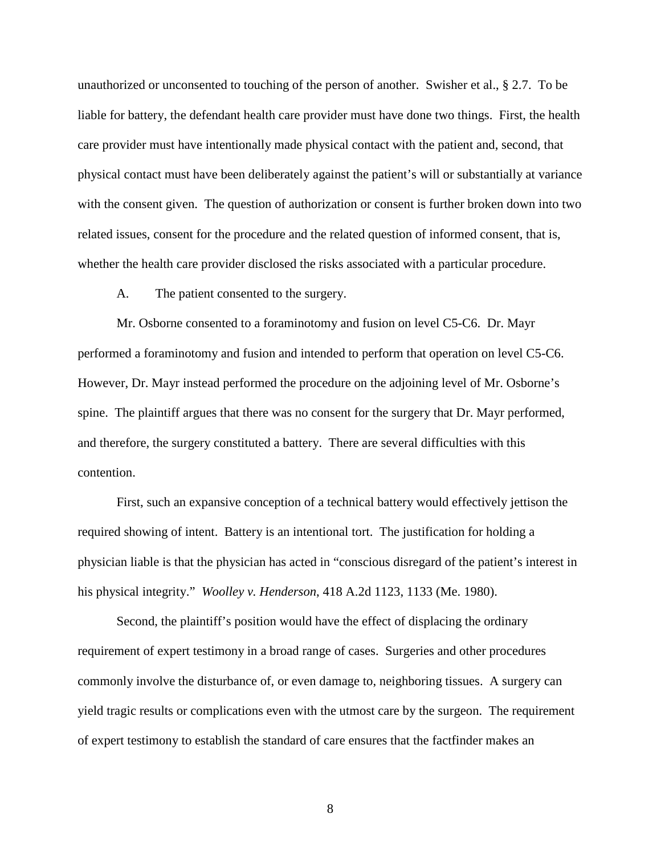unauthorized or unconsented to touching of the person of another. Swisher et al., § 2.7. To be liable for battery, the defendant health care provider must have done two things. First, the health care provider must have intentionally made physical contact with the patient and, second, that physical contact must have been deliberately against the patient's will or substantially at variance with the consent given. The question of authorization or consent is further broken down into two related issues, consent for the procedure and the related question of informed consent, that is, whether the health care provider disclosed the risks associated with a particular procedure.

A. The patient consented to the surgery.

Mr. Osborne consented to a foraminotomy and fusion on level C5-C6. Dr. Mayr performed a foraminotomy and fusion and intended to perform that operation on level C5-C6. However, Dr. Mayr instead performed the procedure on the adjoining level of Mr. Osborne's spine. The plaintiff argues that there was no consent for the surgery that Dr. Mayr performed, and therefore, the surgery constituted a battery. There are several difficulties with this contention.

 First, such an expansive conception of a technical battery would effectively jettison the required showing of intent. Battery is an intentional tort. The justification for holding a physician liable is that the physician has acted in "conscious disregard of the patient's interest in his physical integrity." *Woolley v. Henderson*, 418 A.2d 1123, 1133 (Me. 1980).

Second, the plaintiff's position would have the effect of displacing the ordinary requirement of expert testimony in a broad range of cases. Surgeries and other procedures commonly involve the disturbance of, or even damage to, neighboring tissues. A surgery can yield tragic results or complications even with the utmost care by the surgeon. The requirement of expert testimony to establish the standard of care ensures that the factfinder makes an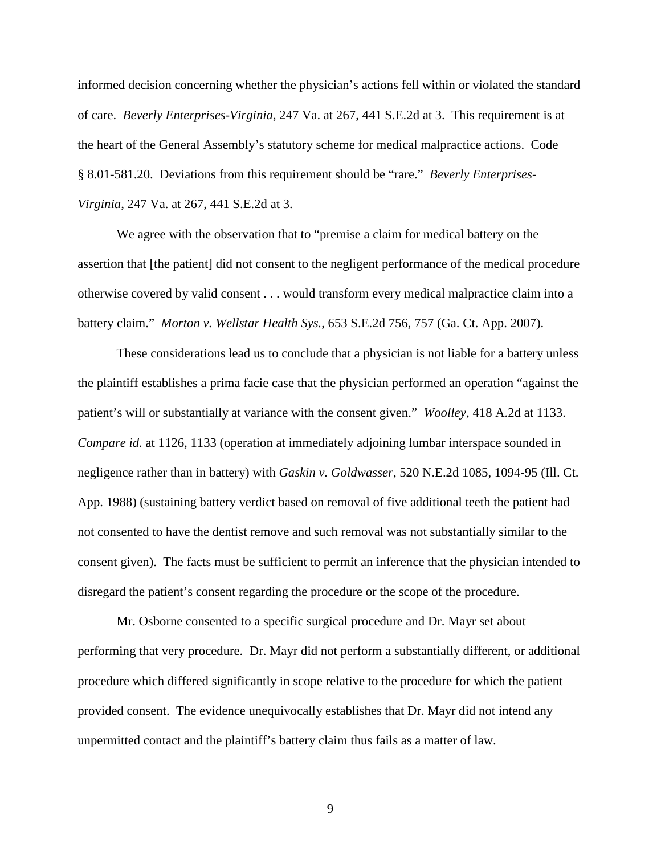informed decision concerning whether the physician's actions fell within or violated the standard of care. *Beverly Enterprises-Virginia*, 247 Va. at 267, 441 S.E.2d at 3. This requirement is at the heart of the General Assembly's statutory scheme for medical malpractice actions. Code § 8.01-581.20. Deviations from this requirement should be "rare." *Beverly Enterprises-Virginia*, 247 Va. at 267, 441 S.E.2d at 3.

We agree with the observation that to "premise a claim for medical battery on the assertion that [the patient] did not consent to the negligent performance of the medical procedure otherwise covered by valid consent . . . would transform every medical malpractice claim into a battery claim." *Morton v. Wellstar Health Sys.*, 653 S.E.2d 756, 757 (Ga. Ct. App. 2007).

 These considerations lead us to conclude that a physician is not liable for a battery unless the plaintiff establishes a prima facie case that the physician performed an operation "against the patient's will or substantially at variance with the consent given." *Woolley*, 418 A.2d at 1133. *Compare id.* at 1126, 1133 (operation at immediately adjoining lumbar interspace sounded in negligence rather than in battery) with *Gaskin v. Goldwasser*, 520 N.E.2d 1085, 1094-95 (Ill. Ct. App. 1988) (sustaining battery verdict based on removal of five additional teeth the patient had not consented to have the dentist remove and such removal was not substantially similar to the consent given). The facts must be sufficient to permit an inference that the physician intended to disregard the patient's consent regarding the procedure or the scope of the procedure.

 Mr. Osborne consented to a specific surgical procedure and Dr. Mayr set about performing that very procedure. Dr. Mayr did not perform a substantially different, or additional procedure which differed significantly in scope relative to the procedure for which the patient provided consent. The evidence unequivocally establishes that Dr. Mayr did not intend any unpermitted contact and the plaintiff's battery claim thus fails as a matter of law.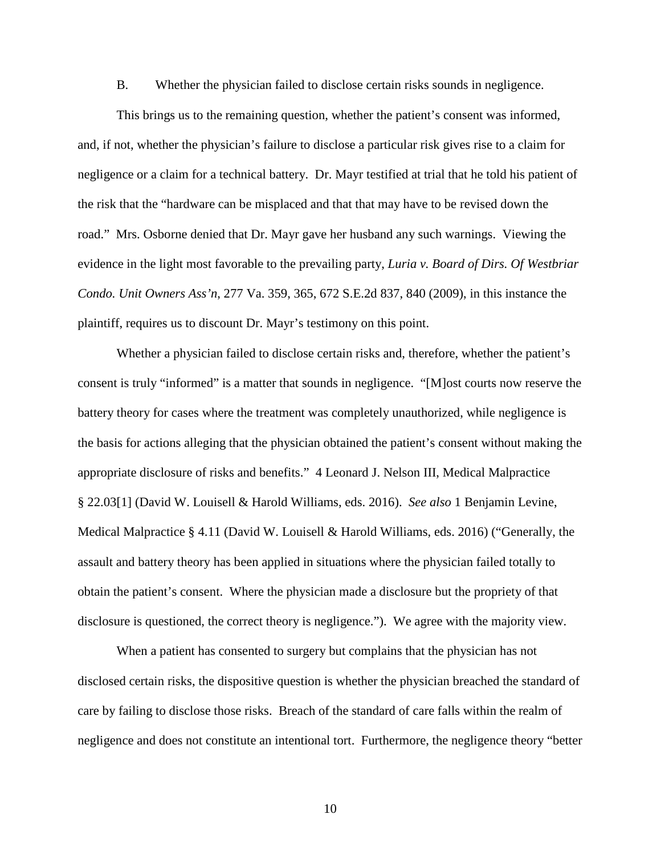B. Whether the physician failed to disclose certain risks sounds in negligence.

 This brings us to the remaining question, whether the patient's consent was informed, and, if not, whether the physician's failure to disclose a particular risk gives rise to a claim for negligence or a claim for a technical battery. Dr. Mayr testified at trial that he told his patient of the risk that the "hardware can be misplaced and that that may have to be revised down the road." Mrs. Osborne denied that Dr. Mayr gave her husband any such warnings. Viewing the evidence in the light most favorable to the prevailing party, *Luria v. Board of Dirs. Of Westbriar Condo. Unit Owners Ass'n*, 277 Va. 359, 365, 672 S.E.2d 837, 840 (2009), in this instance the plaintiff, requires us to discount Dr. Mayr's testimony on this point.

 Whether a physician failed to disclose certain risks and, therefore, whether the patient's consent is truly "informed" is a matter that sounds in negligence. "[M]ost courts now reserve the battery theory for cases where the treatment was completely unauthorized, while negligence is the basis for actions alleging that the physician obtained the patient's consent without making the appropriate disclosure of risks and benefits." 4 Leonard J. Nelson III, Medical Malpractice § 22.03[1] (David W. Louisell & Harold Williams, eds. 2016). *See also* 1 Benjamin Levine, Medical Malpractice § 4.11 (David W. Louisell & Harold Williams, eds. 2016) ("Generally, the assault and battery theory has been applied in situations where the physician failed totally to obtain the patient's consent. Where the physician made a disclosure but the propriety of that disclosure is questioned, the correct theory is negligence."). We agree with the majority view.

 When a patient has consented to surgery but complains that the physician has not disclosed certain risks, the dispositive question is whether the physician breached the standard of care by failing to disclose those risks. Breach of the standard of care falls within the realm of negligence and does not constitute an intentional tort. Furthermore, the negligence theory "better